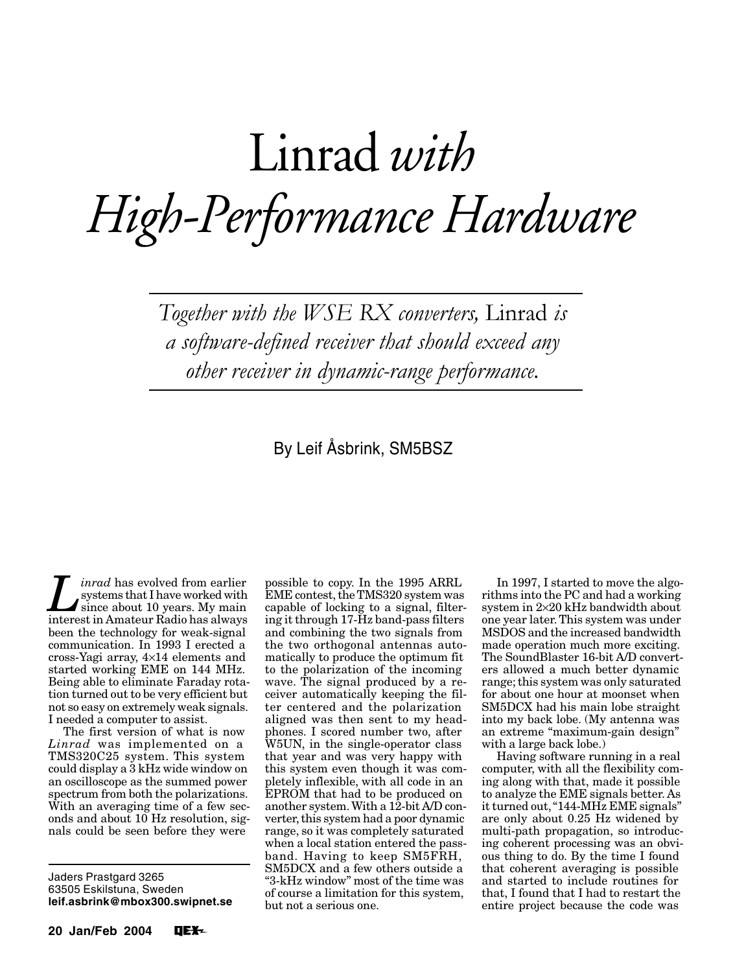# Linrad *with High-Performance Hardware*

Together with the WSE RX converters, Linrad is a software-defined receiver that should exceed any other receiver in dynamic-range performance.

By Leif Åsbrink, SM5BSZ

*Linrad* has evolved from earlier<br>systems that I have worked with<br>since about 10 years. My main<br>interest in Amateur Radio has always systems that I have worked with since about 10 years. My main interest in Amateur Radio has always been the technology for weak-signal communication. In 1993 I erected a cross-Yagi array, 4×14 elements and started working EME on 144 MHz. Being able to eliminate Faraday rotation turned out to be very efficient but not so easy on extremely weak signals. I needed a computer to assist.

The first version of what is now *Linrad* was implemented on a TMS320C25 system. This system could display a 3 kHz wide window on an oscilloscope as the summed power spectrum from both the polarizations. With an averaging time of a few seconds and about 10 Hz resolution, signals could be seen before they were

Jaders Prastgard 3265 63505 Eskilstuna, Sweden **leif.asbrink@mbox300.swipnet.se**

possible to copy. In the 1995 ARRL EME contest, the TMS320 system was capable of locking to a signal, filtering it through 17-Hz band-pass filters and combining the two signals from the two orthogonal antennas automatically to produce the optimum fit to the polarization of the incoming wave. The signal produced by a receiver automatically keeping the filter centered and the polarization aligned was then sent to my headphones. I scored number two, after W5UN, in the single-operator class that year and was very happy with this system even though it was completely inflexible, with all code in an EPROM that had to be produced on another system. With a 12-bit A/D converter, this system had a poor dynamic range, so it was completely saturated when a local station entered the passband. Having to keep SM5FRH, SM5DCX and a few others outside a "3-kHz window" most of the time was of course a limitation for this system, but not a serious one.

In 1997, I started to move the algorithms into the PC and had a working system in 2×20 kHz bandwidth about one year later. This system was under MSDOS and the increased bandwidth made operation much more exciting. The SoundBlaster 16-bit A/D converters allowed a much better dynamic range; this system was only saturated for about one hour at moonset when SM5DCX had his main lobe straight into my back lobe. (My antenna was an extreme "maximum-gain design" with a large back lobe.)

Having software running in a real computer, with all the flexibility coming along with that, made it possible to analyze the EME signals better. As it turned out, "144-MHz EME signals" are only about 0.25 Hz widened by multi-path propagation, so introducing coherent processing was an obvious thing to do. By the time I found that coherent averaging is possible and started to include routines for that, I found that I had to restart the entire project because the code was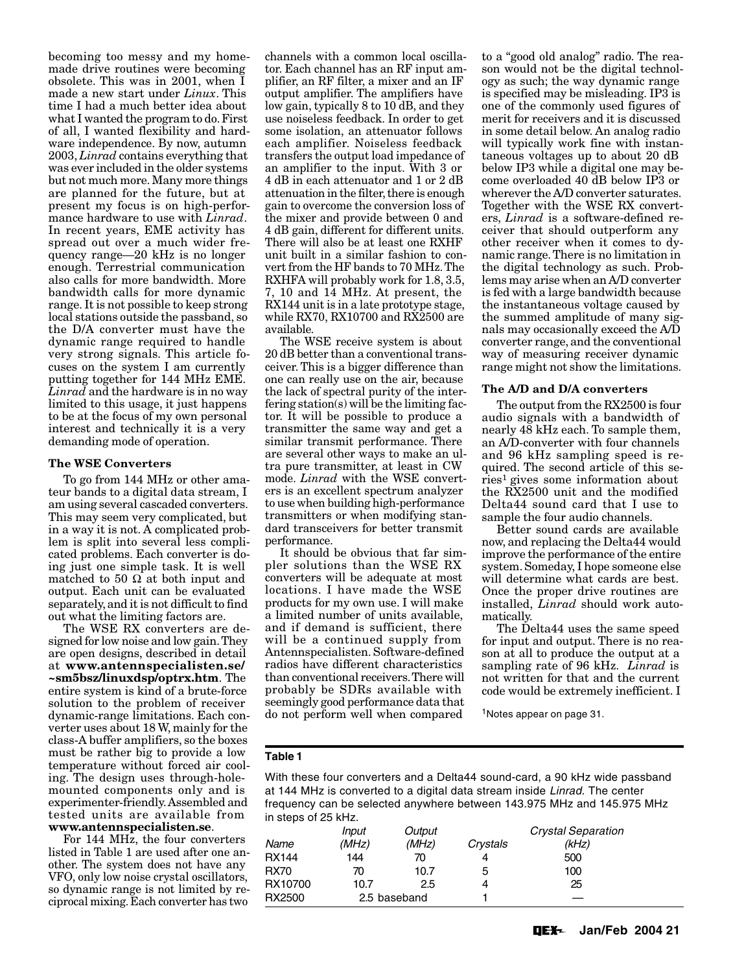becoming too messy and my homemade drive routines were becoming obsolete. This was in 2001, when I made a new start under *Linux*. This time I had a much better idea about what I wanted the program to do. First of all, I wanted flexibility and hardware independence. By now, autumn 2003, *Linrad* contains everything that was ever included in the older systems but not much more. Many more things are planned for the future, but at present my focus is on high-performance hardware to use with *Linrad*. In recent years, EME activity has spread out over a much wider frequency range—20 kHz is no longer enough. Terrestrial communication also calls for more bandwidth. More bandwidth calls for more dynamic range. It is not possible to keep strong local stations outside the passband, so the D/A converter must have the dynamic range required to handle very strong signals. This article focuses on the system I am currently putting together for 144 MHz EME. *Linrad* and the hardware is in no way limited to this usage, it just happens to be at the focus of my own personal interest and technically it is a very demanding mode of operation.

## **The WSE Converters**

To go from 144 MHz or other amateur bands to a digital data stream, I am using several cascaded converters. This may seem very complicated, but in a way it is not. A complicated problem is split into several less complicated problems. Each converter is doing just one simple task. It is well matched to 50  $\Omega$  at both input and output. Each unit can be evaluated separately, and it is not difficult to find out what the limiting factors are.

The WSE RX converters are designed for low noise and low gain. They are open designs, described in detail at **www.antennspecialisten.se/ ~sm5bsz/linuxdsp/optrx.htm**. The entire system is kind of a brute-force solution to the problem of receiver dynamic-range limitations. Each converter uses about 18 W, mainly for the class-A buffer amplifiers, so the boxes must be rather big to provide a low temperature without forced air cooling. The design uses through-holemounted components only and is experimenter-friendly. Assembled and tested units are available from **www.antennspecialisten.se**.

For 144 MHz, the four converters listed in Table 1 are used after one another. The system does not have any VFO, only low noise crystal oscillators, so dynamic range is not limited by reciprocal mixing. Each converter has two

channels with a common local oscillator. Each channel has an RF input amplifier, an RF filter, a mixer and an IF output amplifier. The amplifiers have low gain, typically 8 to 10 dB, and they use noiseless feedback. In order to get some isolation, an attenuator follows each amplifier. Noiseless feedback transfers the output load impedance of an amplifier to the input. With 3 or 4 dB in each attenuator and 1 or 2 dB attenuation in the filter, there is enough gain to overcome the conversion loss of the mixer and provide between 0 and 4 dB gain, different for different units. There will also be at least one RXHF unit built in a similar fashion to convert from the HF bands to 70 MHz. The RXHFA will probably work for 1.8, 3.5, 7, 10 and 14 MHz. At present, the RX144 unit is in a late prototype stage, while RX70, RX10700 and RX2500 are available.

The WSE receive system is about 20 dB better than a conventional transceiver. This is a bigger difference than one can really use on the air, because the lack of spectral purity of the interfering station(s) will be the limiting factor. It will be possible to produce a transmitter the same way and get a similar transmit performance. There are several other ways to make an ultra pure transmitter, at least in CW mode. *Linrad* with the WSE converters is an excellent spectrum analyzer to use when building high-performance transmitters or when modifying standard transceivers for better transmit performance.

It should be obvious that far simpler solutions than the WSE RX converters will be adequate at most locations. I have made the WSE products for my own use. I will make a limited number of units available, and if demand is sufficient, there will be a continued supply from Antennspecialisten. Software-defined radios have different characteristics than conventional receivers. There will probably be SDRs available with seemingly good performance data that do not perform well when compared

to a "good old analog" radio. The reason would not be the digital technology as such; the way dynamic range is specified may be misleading. IP3 is one of the commonly used figures of merit for receivers and it is discussed in some detail below. An analog radio will typically work fine with instantaneous voltages up to about 20 dB below IP3 while a digital one may become overloaded 40 dB below IP3 or wherever the A/D converter saturates. Together with the WSE RX converters, *Linrad* is a software-defined receiver that should outperform any other receiver when it comes to dynamic range. There is no limitation in the digital technology as such. Problems may arise when an A/D converter is fed with a large bandwidth because the instantaneous voltage caused by the summed amplitude of many signals may occasionally exceed the A/D converter range, and the conventional way of measuring receiver dynamic range might not show the limitations.

#### **The A/D and D/A converters**

The output from the RX2500 is four audio signals with a bandwidth of nearly 48 kHz each. To sample them, an A/D-converter with four channels and 96 kHz sampling speed is required. The second article of this series1 gives some information about the RX2500 unit and the modified Delta44 sound card that I use to sample the four audio channels.

Better sound cards are available now, and replacing the Delta44 would improve the performance of the entire system. Someday, I hope someone else will determine what cards are best. Once the proper drive routines are installed, *Linrad* should work automatically.

The Delta44 uses the same speed for input and output. There is no reason at all to produce the output at a sampling rate of 96 kHz. *Linrad* is not written for that and the current code would be extremely inefficient. I

1Notes appear on page 31.

## **Table 1**

With these four converters and a Delta44 sound-card, a 90 kHz wide passband at 144 MHz is converted to a digital data stream inside Linrad. The center frequency can be selected anywhere between 143.975 MHz and 145.975 MHz in steps of 25 kHz.

| Input | Output |              | <b>Crystal Separation</b> |
|-------|--------|--------------|---------------------------|
| (MHz) | (MHz)  | Crystals     | (kHz)                     |
| 144   | 70     |              | 500                       |
| 70    | 10.7   | 5            | 100                       |
| 10.7  | 2.5    | 4            | 25                        |
|       |        |              |                           |
|       |        | 2.5 baseband |                           |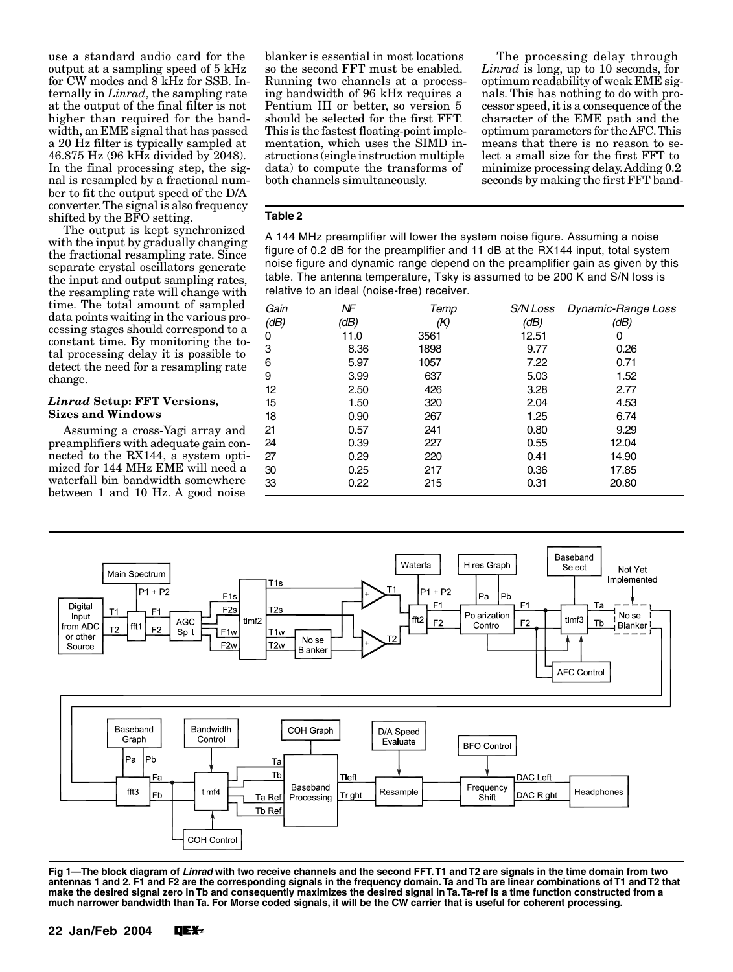use a standard audio card for the output at a sampling speed of 5 kHz for CW modes and 8 kHz for SSB. Internally in *Linrad*, the sampling rate at the output of the final filter is not higher than required for the bandwidth, an EME signal that has passed a 20 Hz filter is typically sampled at 46.875 Hz (96 kHz divided by 2048). In the final processing step, the signal is resampled by a fractional number to fit the output speed of the D/A converter. The signal is also frequency shifted by the BFO setting.

The output is kept synchronized with the input by gradually changing the fractional resampling rate. Since separate crystal oscillators generate the input and output sampling rates, the resampling rate will change with time. The total amount of sampled data points waiting in the various processing stages should correspond to a constant time. By monitoring the total processing delay it is possible to detect the need for a resampling rate change.

# *Linrad* **Setup: FFT Versions, Sizes and Windows**

Assuming a cross-Yagi array and preamplifiers with adequate gain connected to the RX144, a system optimized for 144 MHz EME will need a waterfall bin bandwidth somewhere between 1 and 10 Hz. A good noise

blanker is essential in most locations so the second FFT must be enabled. Running two channels at a processing bandwidth of 96 kHz requires a Pentium III or better, so version 5 should be selected for the first FFT. This is the fastest floating-point implementation, which uses the SIMD instructions (single instruction multiple data) to compute the transforms of both channels simultaneously.

The processing delay through *Linrad* is long, up to 10 seconds, for optimum readability of weak EME signals. This has nothing to do with processor speed, it is a consequence of the character of the EME path and the optimum parameters for the AFC. This means that there is no reason to select a small size for the first FFT to minimize processing delay. Adding 0.2 seconds by making the first FFT band-

# **Table 2**

A 144 MHz preamplifier will lower the system noise figure. Assuming a noise figure of 0.2 dB for the preamplifier and 11 dB at the RX144 input, total system noise figure and dynamic range depend on the preamplifier gain as given by this table. The antenna temperature, Tsky is assumed to be 200 K and S/N loss is relative to an ideal (noise-free) receiver.

| Gain | NF   | Temp | <i>S/N Loss</i> | Dynamic-Range Loss |
|------|------|------|-----------------|--------------------|
| (dB) | (dB) | (K)  | (dB)            | (dB)               |
| 0    | 11.0 | 3561 | 12.51           | 0                  |
| 3    | 8.36 | 1898 | 9.77            | 0.26               |
| 6    | 5.97 | 1057 | 7.22            | 0.71               |
| 9    | 3.99 | 637  | 5.03            | 1.52               |
| 12   | 2.50 | 426  | 3.28            | 2.77               |
| 15   | 1.50 | 320  | 2.04            | 4.53               |
| 18   | 0.90 | 267  | 1.25            | 6.74               |
| 21   | 0.57 | 241  | 0.80            | 9.29               |
| 24   | 0.39 | 227  | 0.55            | 12.04              |
| 27   | 0.29 | 220  | 0.41            | 14.90              |
| 30   | 0.25 | 217  | 0.36            | 17.85              |
| 33   | 0.22 | 215  | 0.31            | 20.80              |



**Fig 1—The block diagram of Linrad with two receive channels and the second FFT. T1 and T2 are signals in the time domain from two antennas 1 and 2. F1 and F2 are the corresponding signals in the frequency domain. Ta and Tb are linear combinations of T1 and T2 that make the desired signal zero in Tb and consequently maximizes the desired signal in Ta. Ta-ref is a time function constructed from a much narrower bandwidth than Ta. For Morse coded signals, it will be the CW carrier that is useful for coherent processing.**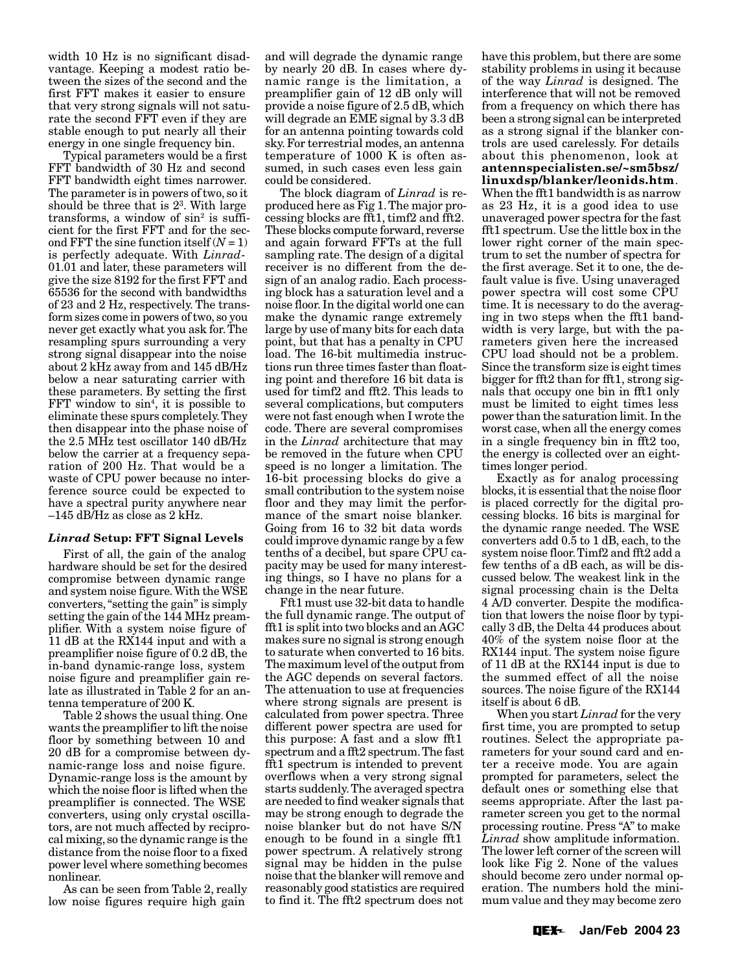width 10 Hz is no significant disadvantage. Keeping a modest ratio between the sizes of the second and the first FFT makes it easier to ensure that very strong signals will not saturate the second FFT even if they are stable enough to put nearly all their energy in one single frequency bin.

Typical parameters would be a first FFT bandwidth of 30 Hz and second FFT bandwidth eight times narrower. The parameter is in powers of two, so it should be three that is 23. With large transforms, a window of  $\sin^2$  is sufficient for the first FFT and for the second FFT the sine function itself  $(N = 1)$ is perfectly adequate. With *Linrad*-01.01 and later, these parameters will give the size 8192 for the first FFT and 65536 for the second with bandwidths of 23 and 2 Hz, respectively. The transform sizes come in powers of two, so you never get exactly what you ask for. The resampling spurs surrounding a very strong signal disappear into the noise about 2 kHz away from and 145 dB/Hz below a near saturating carrier with these parameters. By setting the first FFT window to  $\sin^4$ , it is possible to eliminate these spurs completely. They then disappear into the phase noise of the 2.5 MHz test oscillator 140 dB/Hz below the carrier at a frequency separation of 200 Hz. That would be a waste of CPU power because no interference source could be expected to have a spectral purity anywhere near –145 dB/Hz as close as 2 kHz.

# *Linrad* **Setup: FFT Signal Levels**

First of all, the gain of the analog hardware should be set for the desired compromise between dynamic range and system noise figure. With the WSE converters, "setting the gain" is simply setting the gain of the 144 MHz preamplifier. With a system noise figure of 11 dB at the RX144 input and with a preamplifier noise figure of 0.2 dB, the in-band dynamic-range loss, system noise figure and preamplifier gain relate as illustrated in Table 2 for an antenna temperature of 200 K.

Table 2 shows the usual thing. One wants the preamplifier to lift the noise floor by something between 10 and 20 dB for a compromise between dynamic-range loss and noise figure. Dynamic-range loss is the amount by which the noise floor is lifted when the preamplifier is connected. The WSE converters, using only crystal oscillators, are not much affected by reciprocal mixing, so the dynamic range is the distance from the noise floor to a fixed power level where something becomes nonlinear.

As can be seen from Table 2, really low noise figures require high gain

and will degrade the dynamic range by nearly 20 dB. In cases where dynamic range is the limitation, a preamplifier gain of 12 dB only will provide a noise figure of 2.5 dB, which will degrade an EME signal by 3.3 dB for an antenna pointing towards cold sky. For terrestrial modes, an antenna temperature of 1000 K is often assumed, in such cases even less gain could be considered.

The block diagram of *Linrad* is reproduced here as Fig 1. The major processing blocks are fft1, timf2 and fft2. These blocks compute forward, reverse and again forward FFTs at the full sampling rate. The design of a digital receiver is no different from the design of an analog radio. Each processing block has a saturation level and a noise floor. In the digital world one can make the dynamic range extremely large by use of many bits for each data point, but that has a penalty in CPU load. The 16-bit multimedia instructions run three times faster than floating point and therefore 16 bit data is used for timf2 and fft2. This leads to several complications, but computers were not fast enough when I wrote the code. There are several compromises in the *Linrad* architecture that may be removed in the future when CPU speed is no longer a limitation. The 16-bit processing blocks do give a small contribution to the system noise floor and they may limit the performance of the smart noise blanker. Going from 16 to 32 bit data words could improve dynamic range by a few tenths of a decibel, but spare CPU capacity may be used for many interesting things, so I have no plans for a change in the near future.

Fft1 must use 32-bit data to handle the full dynamic range. The output of fft1 is split into two blocks and an AGC makes sure no signal is strong enough to saturate when converted to 16 bits. The maximum level of the output from the AGC depends on several factors. The attenuation to use at frequencies where strong signals are present is calculated from power spectra. Three different power spectra are used for this purpose: A fast and a slow fft1 spectrum and a fft2 spectrum. The fast fft1 spectrum is intended to prevent overflows when a very strong signal starts suddenly. The averaged spectra are needed to find weaker signals that may be strong enough to degrade the noise blanker but do not have S/N enough to be found in a single fft1 power spectrum. A relatively strong signal may be hidden in the pulse noise that the blanker will remove and reasonably good statistics are required to find it. The fft2 spectrum does not

have this problem, but there are some stability problems in using it because of the way *Linrad* is designed. The interference that will not be removed from a frequency on which there has been a strong signal can be interpreted as a strong signal if the blanker controls are used carelessly. For details about this phenomenon, look at **antennspecialisten.se/~sm5bsz/ linuxdsp/blanker/leonids.htm**. When the fft1 bandwidth is as narrow as 23 Hz, it is a good idea to use unaveraged power spectra for the fast fft1 spectrum. Use the little box in the lower right corner of the main spectrum to set the number of spectra for the first average. Set it to one, the default value is five. Using unaveraged power spectra will cost some CPU time. It is necessary to do the averaging in two steps when the fft1 bandwidth is very large, but with the parameters given here the increased CPU load should not be a problem. Since the transform size is eight times bigger for fft2 than for fft1, strong signals that occupy one bin in fft1 only must be limited to eight times less power than the saturation limit. In the worst case, when all the energy comes in a single frequency bin in fft2 too, the energy is collected over an eighttimes longer period.

Exactly as for analog processing blocks, it is essential that the noise floor is placed correctly for the digital processing blocks. 16 bits is marginal for the dynamic range needed. The WSE converters add 0.5 to 1 dB, each, to the system noise floor. Timf2 and fft2 add a few tenths of a dB each, as will be discussed below. The weakest link in the signal processing chain is the Delta 4 A/D converter. Despite the modification that lowers the noise floor by typically 3 dB, the Delta 44 produces about 40% of the system noise floor at the RX144 input. The system noise figure of 11 dB at the RX144 input is due to the summed effect of all the noise sources. The noise figure of the RX144 itself is about 6 dB.

When you start *Linrad* for the very first time, you are prompted to setup routines. Select the appropriate parameters for your sound card and enter a receive mode. You are again prompted for parameters, select the default ones or something else that seems appropriate. After the last parameter screen you get to the normal processing routine. Press "A" to make *Linrad* show amplitude information. The lower left corner of the screen will look like Fig 2. None of the values should become zero under normal operation. The numbers hold the minimum value and they may become zero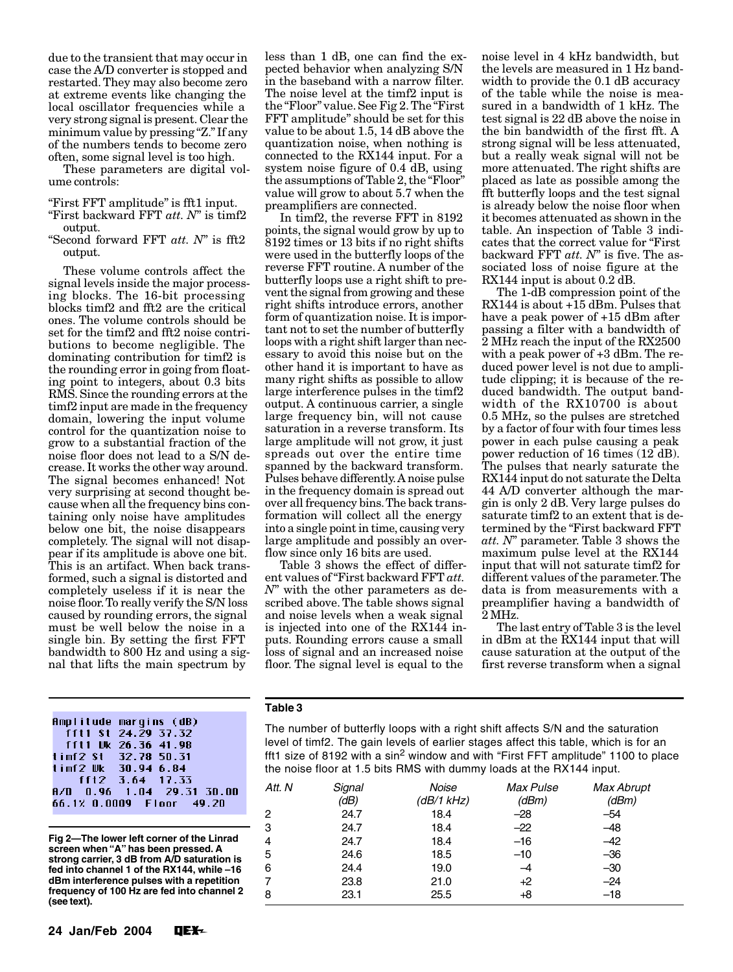due to the transient that may occur in case the A/D converter is stopped and restarted. They may also become zero at extreme events like changing the local oscillator frequencies while a very strong signal is present. Clear the minimum value by pressing "Z." If any of the numbers tends to become zero often, some signal level is too high.

These parameters are digital volume controls:

- "First FFT amplitude" is fft1 input.
- "First backward FFT *att. N*" is timf2 output.
- "Second forward FFT *att. N*" is fft2 output.

These volume controls affect the signal levels inside the major processing blocks. The 16-bit processing blocks timf2 and fft2 are the critical ones. The volume controls should be set for the timf2 and fft2 noise contributions to become negligible. The dominating contribution for timf2 is the rounding error in going from floating point to integers, about 0.3 bits RMS. Since the rounding errors at the timf2 input are made in the frequency domain, lowering the input volume control for the quantization noise to grow to a substantial fraction of the noise floor does not lead to a S/N decrease. It works the other way around. The signal becomes enhanced! Not very surprising at second thought because when all the frequency bins containing only noise have amplitudes below one bit, the noise disappears completely. The signal will not disappear if its amplitude is above one bit. This is an artifact. When back transformed, such a signal is distorted and completely useless if it is near the noise floor. To really verify the S/N loss caused by rounding errors, the signal must be well below the noise in a single bin. By setting the first FFT bandwidth to 800 Hz and using a signal that lifts the main spectrum by

pected behavior when analyzing S/N in the baseband with a narrow filter. The noise level at the timf2 input is the "Floor" value. See Fig 2. The "First FFT amplitude" should be set for this value to be about 1.5, 14 dB above the quantization noise, when nothing is connected to the RX144 input. For a system noise figure of 0.4 dB, using the assumptions of Table 2, the "Floor" value will grow to about 5.7 when the

less than 1 dB, one can find the ex-

preamplifiers are connected. In timf2, the reverse FFT in 8192 points, the signal would grow by up to 8192 times or 13 bits if no right shifts were used in the butterfly loops of the reverse FFT routine. A number of the butterfly loops use a right shift to prevent the signal from growing and these right shifts introduce errors, another form of quantization noise. It is important not to set the number of butterfly loops with a right shift larger than necessary to avoid this noise but on the other hand it is important to have as many right shifts as possible to allow large interference pulses in the timf2 output. A continuous carrier, a single large frequency bin, will not cause saturation in a reverse transform. Its large amplitude will not grow, it just spreads out over the entire time spanned by the backward transform. Pulses behave differently. A noise pulse in the frequency domain is spread out over all frequency bins. The back transformation will collect all the energy into a single point in time, causing very large amplitude and possibly an overflow since only 16 bits are used.

Table 3 shows the effect of different values of "First backward FFT *att. N*" with the other parameters as described above. The table shows signal and noise levels when a weak signal is injected into one of the RX144 inputs. Rounding errors cause a small loss of signal and an increased noise floor. The signal level is equal to the

noise level in 4 kHz bandwidth, but the levels are measured in 1 Hz bandwidth to provide the 0.1 dB accuracy of the table while the noise is measured in a bandwidth of 1 kHz. The test signal is 22 dB above the noise in the bin bandwidth of the first fft. A strong signal will be less attenuated, but a really weak signal will not be more attenuated. The right shifts are placed as late as possible among the fft butterfly loops and the test signal is already below the noise floor when it becomes attenuated as shown in the table. An inspection of Table 3 indicates that the correct value for "First backward FFT *att. N*" is five. The associated loss of noise figure at the RX144 input is about 0.2 dB.

The 1-dB compression point of the RX144 is about +15 dBm. Pulses that have a peak power of +15 dBm after passing a filter with a bandwidth of 2 MHz reach the input of the RX2500 with a peak power of  $+3$  dBm. The reduced power level is not due to amplitude clipping; it is because of the reduced bandwidth. The output bandwidth of the RX10700 is about 0.5 MHz, so the pulses are stretched by a factor of four with four times less power in each pulse causing a peak power reduction of 16 times (12 dB). The pulses that nearly saturate the RX144 input do not saturate the Delta 44 A/D converter although the margin is only 2 dB. Very large pulses do saturate timf2 to an extent that is determined by the "First backward FFT *att. N*" parameter. Table 3 shows the maximum pulse level at the RX144 input that will not saturate timf2 for different values of the parameter. The data is from measurements with a preamplifier having a bandwidth of 2 MHz.

The last entry of Table 3 is the level in dBm at the RX144 input that will cause saturation at the output of the first reverse transform when a signal

| Amplitude margins (dB)    |
|---------------------------|
| fft1 St 24.29 37.32       |
| fft1 Uk 26.36 41.98       |
| timf2 St 32.78 50.31      |
| timf2 Uk 30.94 6.84       |
| $ft12$ 3.64 17.33         |
| A/D 0.96 1.04 29.31 30.00 |
| 66.1% 0.0009 Floor 49.20  |

**Fig 2—The lower left corner of the Linrad screen when "A" has been pressed. A strong carrier, 3 dB from A/D saturation is fed into channel 1 of the RX144, while –16 dBm interference pulses with a repetition frequency of 100 Hz are fed into channel 2 (see text).**

#### **Table 3**

The number of butterfly loops with a right shift affects S/N and the saturation level of timf2. The gain levels of earlier stages affect this table, which is for an fft1 size of 8192 with a  $sin^2$  window and with "First FFT amplitude" 1100 to place the noise floor at 1.5 bits RMS with dummy loads at the RX144 input.

| Att. N | Signal | Noise      | <b>Max Pulse</b> | <b>Max Abrupt</b> |
|--------|--------|------------|------------------|-------------------|
|        | (dB)   | (dB/1 kHz) | (dBm)            | (dBm)             |
| 2      | 24.7   | 18.4       | $-28$            | -54               |
| 3      | 24.7   | 18.4       | $-22$            | –48               |
| 4      | 24.7   | 18.4       | $-16$            | $-42$             |
| 5      | 24.6   | 18.5       | $-10$            | $-36$             |
| 6      | 24.4   | 19.0       | $-4$             | $-30$             |
|        | 23.8   | 21.0       | $+2$             | $-24$             |
| 8      | 23.1   | 25.5       | +8               | $-18$             |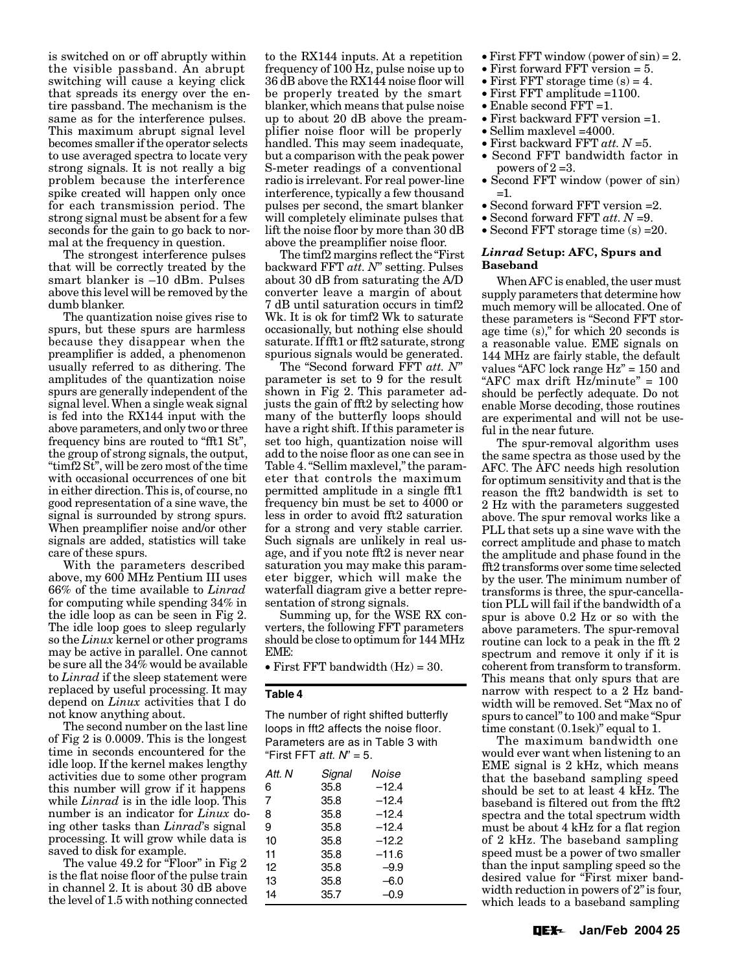is switched on or off abruptly within the visible passband. An abrupt switching will cause a keying click that spreads its energy over the entire passband. The mechanism is the same as for the interference pulses. This maximum abrupt signal level becomes smaller if the operator selects to use averaged spectra to locate very strong signals. It is not really a big problem because the interference spike created will happen only once for each transmission period. The strong signal must be absent for a few seconds for the gain to go back to normal at the frequency in question.

The strongest interference pulses that will be correctly treated by the smart blanker is –10 dBm. Pulses above this level will be removed by the dumb blanker.

The quantization noise gives rise to spurs, but these spurs are harmless because they disappear when the preamplifier is added, a phenomenon usually referred to as dithering. The amplitudes of the quantization noise spurs are generally independent of the signal level. When a single weak signal is fed into the RX144 input with the above parameters, and only two or three frequency bins are routed to "fft1 St", the group of strong signals, the output, "timf2 St", will be zero most of the time with occasional occurrences of one bit in either direction. This is, of course, no good representation of a sine wave, the signal is surrounded by strong spurs. When preamplifier noise and/or other signals are added, statistics will take care of these spurs.

With the parameters described above, my 600 MHz Pentium III uses 66% of the time available to *Linrad* for computing while spending 34% in the idle loop as can be seen in Fig 2. The idle loop goes to sleep regularly so the *Linux* kernel or other programs may be active in parallel. One cannot be sure all the 34% would be available to *Linrad* if the sleep statement were replaced by useful processing. It may depend on *Linux* activities that I do not know anything about.

The second number on the last line of Fig 2 is 0.0009. This is the longest time in seconds encountered for the idle loop. If the kernel makes lengthy activities due to some other program this number will grow if it happens while *Linrad* is in the idle loop. This number is an indicator for *Linux* doing other tasks than *Linrad*'s signal processing. It will grow while data is saved to disk for example.

The value 49.2 for "Floor" in Fig 2 is the flat noise floor of the pulse train in channel 2. It is about 30 dB above the level of 1.5 with nothing connected

to the RX144 inputs. At a repetition frequency of 100 Hz, pulse noise up to 36 dB above the RX144 noise floor will be properly treated by the smart blanker, which means that pulse noise up to about 20 dB above the preamplifier noise floor will be properly handled. This may seem inadequate, but a comparison with the peak power S-meter readings of a conventional radio is irrelevant. For real power-line interference, typically a few thousand pulses per second, the smart blanker will completely eliminate pulses that lift the noise floor by more than 30 dB above the preamplifier noise floor.

The timf2 margins reflect the "First backward FFT *att. N*" setting. Pulses about 30 dB from saturating the A/D converter leave a margin of about 7 dB until saturation occurs in timf2 Wk. It is ok for timf2 Wk to saturate occasionally, but nothing else should saturate. If fft1 or fft2 saturate, strong spurious signals would be generated.

The "Second forward FFT *att. N*" parameter is set to 9 for the result shown in Fig 2. This parameter adjusts the gain of fft2 by selecting how many of the butterfly loops should have a right shift. If this parameter is set too high, quantization noise will add to the noise floor as one can see in Table 4. "Sellim maxlevel," the parameter that controls the maximum permitted amplitude in a single fft1 frequency bin must be set to 4000 or less in order to avoid fft2 saturation for a strong and very stable carrier. Such signals are unlikely in real usage, and if you note fft2 is never near saturation you may make this parameter bigger, which will make the waterfall diagram give a better representation of strong signals.

Summing up, for the WSE RX converters, the following FFT parameters should be close to optimum for 144 MHz EME:

• First FFT bandwidth  $(Hz) = 30$ .

## **Table 4**

The number of right shifted butterfly loops in fft2 affects the noise floor. Parameters are as in Table 3 with "First FFT att.  $N' = 5$ .

| Att. N | Signal | Noise   |  |
|--------|--------|---------|--|
| 6      | 35.8   | $-12.4$ |  |
| 7      | 35.8   | $-12.4$ |  |
| 8      | 35.8   | $-12.4$ |  |
| 9      | 35.8   | $-12.4$ |  |
| 10     | 35.8   | $-12.2$ |  |
| 11     | 35.8   | $-11.6$ |  |
| 12     | 35.8   | -9.9    |  |
| 13     | 35.8   | $-6.0$  |  |
| 14     | 35.7   | -0.9    |  |

- First FFT window (power of  $sin = 2$ .
- First forward FFT version = 5.
- First FFT storage time  $(s) = 4$ .
- First FFT amplitude =1100.
- Enable second FFT = 1.
- First backward FFT version =1.
- Sellim maxlevel =4000.
- First backward FFT *att. N* =5.
- Second FFT bandwidth factor in powers of  $2 = 3$ .
- Second FFT window (power of sin)  $=1$ .
- Second forward FFT version =2.
- Second forward FFT *att. N* =9.
- Second FFT storage time (s) =20.

# *Linrad* **Setup: AFC, Spurs and Baseband**

When AFC is enabled, the user must supply parameters that determine how much memory will be allocated. One of these parameters is "Second FFT storage time (s)," for which 20 seconds is a reasonable value. EME signals on 144 MHz are fairly stable, the default values "AFC lock range Hz" = 150 and "AFC max drift  $Hz/minute" = 100$ should be perfectly adequate. Do not enable Morse decoding, those routines are experimental and will not be useful in the near future.

The spur-removal algorithm uses the same spectra as those used by the AFC. The AFC needs high resolution for optimum sensitivity and that is the reason the fft2 bandwidth is set to 2 Hz with the parameters suggested above. The spur removal works like a PLL that sets up a sine wave with the correct amplitude and phase to match the amplitude and phase found in the fft2 transforms over some time selected by the user. The minimum number of transforms is three, the spur-cancellation PLL will fail if the bandwidth of a spur is above 0.2 Hz or so with the above parameters. The spur-removal routine can lock to a peak in the fft 2 spectrum and remove it only if it is coherent from transform to transform. This means that only spurs that are narrow with respect to a 2 Hz bandwidth will be removed. Set "Max no of spurs to cancel" to 100 and make "Spur time constant (0.1sek)" equal to 1.

The maximum bandwidth one would ever want when listening to an EME signal is 2 kHz, which means that the baseband sampling speed should be set to at least 4 kHz. The baseband is filtered out from the fft2 spectra and the total spectrum width must be about 4 kHz for a flat region of 2 kHz. The baseband sampling speed must be a power of two smaller than the input sampling speed so the desired value for "First mixer bandwidth reduction in powers of 2" is four, which leads to a baseband sampling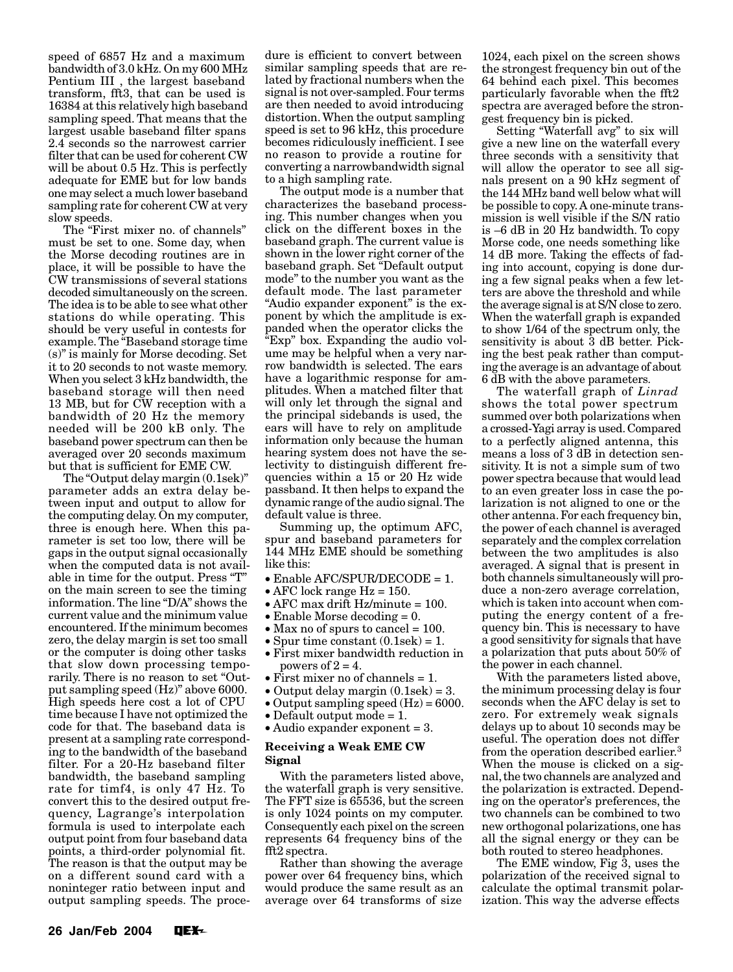speed of 6857 Hz and a maximum bandwidth of 3.0 kHz. On my 600 MHz Pentium III , the largest baseband transform, fft3, that can be used is 16384 at this relatively high baseband sampling speed. That means that the largest usable baseband filter spans 2.4 seconds so the narrowest carrier filter that can be used for coherent CW will be about 0.5 Hz. This is perfectly adequate for EME but for low bands one may select a much lower baseband sampling rate for coherent CW at very slow speeds.

The "First mixer no. of channels" must be set to one. Some day, when the Morse decoding routines are in place, it will be possible to have the CW transmissions of several stations decoded simultaneously on the screen. The idea is to be able to see what other stations do while operating. This should be very useful in contests for example. The "Baseband storage time (s)" is mainly for Morse decoding. Set it to 20 seconds to not waste memory. When you select 3 kHz bandwidth, the baseband storage will then need 13 MB, but for CW reception with a bandwidth of 20 Hz the memory needed will be 200 kB only. The baseband power spectrum can then be averaged over 20 seconds maximum but that is sufficient for EME CW.

The "Output delay margin (0.1sek)" parameter adds an extra delay between input and output to allow for the computing delay. On my computer, three is enough here. When this parameter is set too low, there will be gaps in the output signal occasionally when the computed data is not available in time for the output. Press "T" on the main screen to see the timing information. The line "D/A" shows the current value and the minimum value encountered. If the minimum becomes zero, the delay margin is set too small or the computer is doing other tasks that slow down processing temporarily. There is no reason to set "Output sampling speed (Hz)" above 6000. High speeds here cost a lot of CPU time because I have not optimized the code for that. The baseband data is present at a sampling rate corresponding to the bandwidth of the baseband filter. For a 20-Hz baseband filter bandwidth, the baseband sampling rate for timf4, is only 47 Hz. To convert this to the desired output frequency, Lagrange's interpolation formula is used to interpolate each output point from four baseband data points, a third-order polynomial fit. The reason is that the output may be on a different sound card with a noninteger ratio between input and output sampling speeds. The proce-

dure is efficient to convert between similar sampling speeds that are related by fractional numbers when the signal is not over-sampled. Four terms are then needed to avoid introducing distortion. When the output sampling speed is set to 96 kHz, this procedure becomes ridiculously inefficient. I see no reason to provide a routine for converting a narrowbandwidth signal to a high sampling rate.

The output mode is a number that characterizes the baseband processing. This number changes when you click on the different boxes in the baseband graph. The current value is shown in the lower right corner of the baseband graph. Set "Default output mode" to the number you want as the default mode. The last parameter "Audio expander exponent" is the exponent by which the amplitude is expanded when the operator clicks the "Exp" box. Expanding the audio volume may be helpful when a very narrow bandwidth is selected. The ears have a logarithmic response for amplitudes. When a matched filter that will only let through the signal and the principal sidebands is used, the ears will have to rely on amplitude information only because the human hearing system does not have the selectivity to distinguish different frequencies within a 15 or 20 Hz wide passband. It then helps to expand the dynamic range of the audio signal. The default value is three.

Summing up, the optimum AFC, spur and baseband parameters for 144 MHz EME should be something like this:

- Enable AFC/SPUR/DECODE = 1.
- AFC lock range  $Hz = 150$ .
- AFC max drift Hz/minute = 100.
- Enable Morse decoding = 0.
- Max no of spurs to cancel = 100.
- Spur time constant  $(0.1$ sek $) = 1$ .
- First mixer bandwidth reduction in powers of  $2 = 4$ .
- First mixer no of channels = 1.
- Output delay margin  $(0.1$ sek $) = 3$ .
- Output sampling speed  $(Hz) = 6000$ .
- Default output mode = 1.
- Audio expander exponent = 3.

## **Receiving a Weak EME CW Signal**

With the parameters listed above, the waterfall graph is very sensitive. The FFT size is 65536, but the screen is only 1024 points on my computer. Consequently each pixel on the screen represents 64 frequency bins of the fft2 spectra.

Rather than showing the average power over 64 frequency bins, which would produce the same result as an average over 64 transforms of size

1024, each pixel on the screen shows the strongest frequency bin out of the 64 behind each pixel. This becomes particularly favorable when the fft2 spectra are averaged before the strongest frequency bin is picked.

Setting "Waterfall avg" to six will give a new line on the waterfall every three seconds with a sensitivity that will allow the operator to see all signals present on a 90 kHz segment of the 144 MHz band well below what will be possible to copy. A one-minute transmission is well visible if the S/N ratio is –6 dB in 20 Hz bandwidth. To copy Morse code, one needs something like 14 dB more. Taking the effects of fading into account, copying is done during a few signal peaks when a few letters are above the threshold and while the average signal is at S/N close to zero. When the waterfall graph is expanded to show 1/64 of the spectrum only, the sensitivity is about 3 dB better. Picking the best peak rather than computing the average is an advantage of about 6 dB with the above parameters.

The waterfall graph of *Linrad* shows the total power spectrum summed over both polarizations when a crossed-Yagi array is used. Compared to a perfectly aligned antenna, this means a loss of 3 dB in detection sensitivity. It is not a simple sum of two power spectra because that would lead to an even greater loss in case the polarization is not aligned to one or the other antenna. For each frequency bin, the power of each channel is averaged separately and the complex correlation between the two amplitudes is also averaged. A signal that is present in both channels simultaneously will produce a non-zero average correlation, which is taken into account when computing the energy content of a frequency bin. This is necessary to have a good sensitivity for signals that have a polarization that puts about 50% of the power in each channel.

With the parameters listed above, the minimum processing delay is four seconds when the AFC delay is set to zero. For extremely weak signals delays up to about 10 seconds may be useful. The operation does not differ from the operation described earlier.3 When the mouse is clicked on a signal, the two channels are analyzed and the polarization is extracted. Depending on the operator's preferences, the two channels can be combined to two new orthogonal polarizations, one has all the signal energy or they can be both routed to stereo headphones.

The EME window, Fig 3, uses the polarization of the received signal to calculate the optimal transmit polarization. This way the adverse effects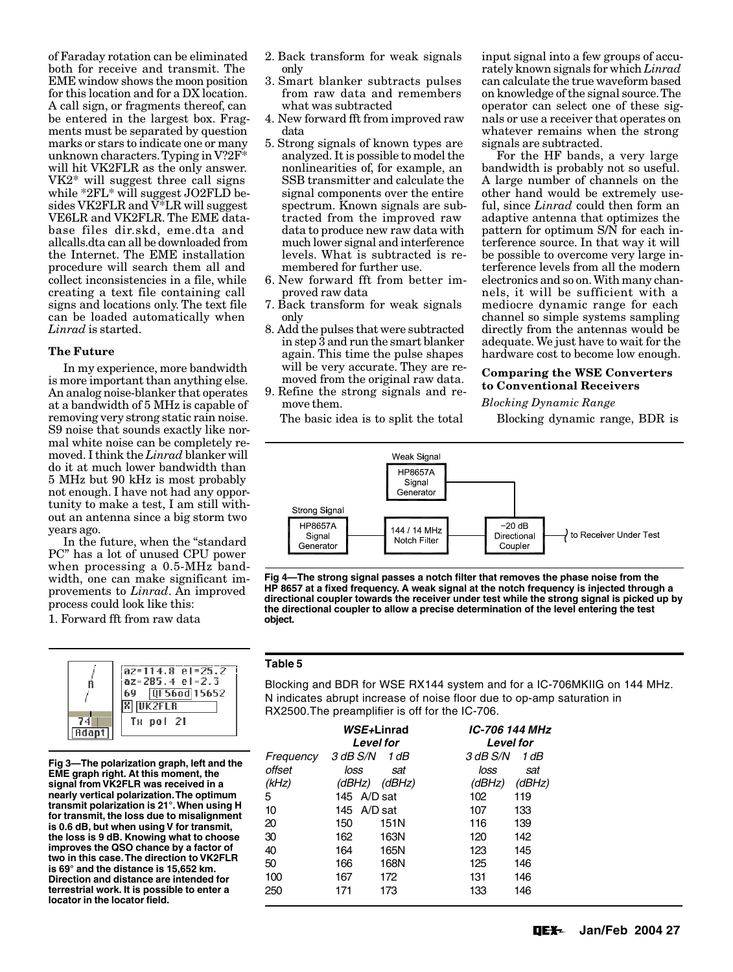of Faraday rotation can be eliminated both for receive and transmit. The EME window shows the moon position for this location and for a DX location. A call sign, or fragments thereof, can be entered in the largest box. Fragments must be separated by question marks or stars to indicate one or many unknown characters. Typing in V?2F\* will hit VK2FLR as the only answer. VK2\* will suggest three call signs while \*2FL\* will suggest JO2FLD besides VK2FLR and V\*LR will suggest VE6LR and VK2FLR. The EME database files dir.skd, eme.dta and allcalls.dta can all be downloaded from the Internet. The EME installation procedure will search them all and collect inconsistencies in a file, while creating a text file containing call signs and locations only. The text file can be loaded automatically when *Linrad* is started.

## **The Future**

In my experience, more bandwidth is more important than anything else. An analog noise-blanker that operates at a bandwidth of 5 MHz is capable of removing very strong static rain noise. S9 noise that sounds exactly like normal white noise can be completely removed. I think the *Linrad* blanker will do it at much lower bandwidth than 5 MHz but 90 kHz is most probably not enough. I have not had any opportunity to make a test, I am still without an antenna since a big storm two years ago.

In the future, when the "standard PC" has a lot of unused CPU power when processing a 0.5-MHz bandwidth, one can make significant improvements to *Linrad*. An improved process could look like this:

1. Forward fft from raw data



**Fig 3—The polarization graph, left and the EME graph right. At this moment, the signal from VK2FLR was received in a nearly vertical polarization. The optimum transmit polarization is 21°. When using H for transmit, the loss due to misalignment is 0.6 dB, but when using V for transmit, the loss is 9 dB. Knowing what to choose improves the QSO chance by a factor of two in this case. The direction to VK2FLR is 69° and the distance is 15,652 km. Direction and distance are intended for terrestrial work. It is possible to enter a locator in the locator field.**

- 2. Back transform for weak signals only
- 3. Smart blanker subtracts pulses from raw data and remembers what was subtracted
- 4. New forward fft from improved raw data
- 5. Strong signals of known types are analyzed. It is possible to model the nonlinearities of, for example, an SSB transmitter and calculate the signal components over the entire spectrum. Known signals are subtracted from the improved raw data to produce new raw data with much lower signal and interference levels. What is subtracted is remembered for further use.
- 6. New forward fft from better improved raw data
- 7. Back transform for weak signals only
- 8. Add the pulses that were subtracted in step 3 and run the smart blanker again. This time the pulse shapes will be very accurate. They are removed from the original raw data.
- 9. Refine the strong signals and remove them.

The basic idea is to split the total

input signal into a few groups of accurately known signals for which *Linrad* can calculate the true waveform based on knowledge of the signal source. The operator can select one of these signals or use a receiver that operates on whatever remains when the strong signals are subtracted.

For the HF bands, a very large bandwidth is probably not so useful. A large number of channels on the other hand would be extremely useful, since *Linrad* could then form an adaptive antenna that optimizes the pattern for optimum S/N for each interference source. In that way it will be possible to overcome very large interference levels from all the modern electronics and so on. With many channels, it will be sufficient with a mediocre dynamic range for each channel so simple systems sampling directly from the antennas would be adequate. We just have to wait for the hardware cost to become low enough.

# **Comparing the WSE Converters to Conventional Receivers**

*Blocking Dynamic Range*

Blocking dynamic range, BDR is



**Fig 4—The strong signal passes a notch filter that removes the phase noise from the HP 8657 at a fixed frequency. A weak signal at the notch frequency is injected through a directional coupler towards the receiver under test while the strong signal is picked up by the directional coupler to allow a precise determination of the level entering the test object.**

## **Table 5**

Blocking and BDR for WSE RX144 system and for a IC-706MKIIG on 144 MHz. N indicates abrupt increase of noise floor due to op-amp saturation in RX2500.The preamplifier is off for the IC-706.

|           | WSE+Linrad<br>Level for | <b>IC-706 144 MHz</b><br><b>Level</b> for |
|-----------|-------------------------|-------------------------------------------|
| Frequency | <i>3 dB S/N</i><br>1 dB | <i>3 dB S/N</i><br>1 dB                   |
| offset    | loss<br>sat             | loss<br>sat                               |
| (kHz)     | (dBHz) (dBHz)           | (dBHz)<br>(dBHz)                          |
| 5         | 145 A/D sat             | 119<br>102                                |
| 10        | 145 A/D sat             | 107<br>133                                |
| 20        | 151N<br>150             | 116<br>139                                |
| 30        | 162<br>163N             | 142<br>120                                |
| 40        | 165N<br>164             | 123<br>145                                |
| 50        | 168N<br>166             | 125<br>146                                |
| 100       | 172<br>167              | 146<br>131                                |
| 250       | 173<br>171              | 133<br>146                                |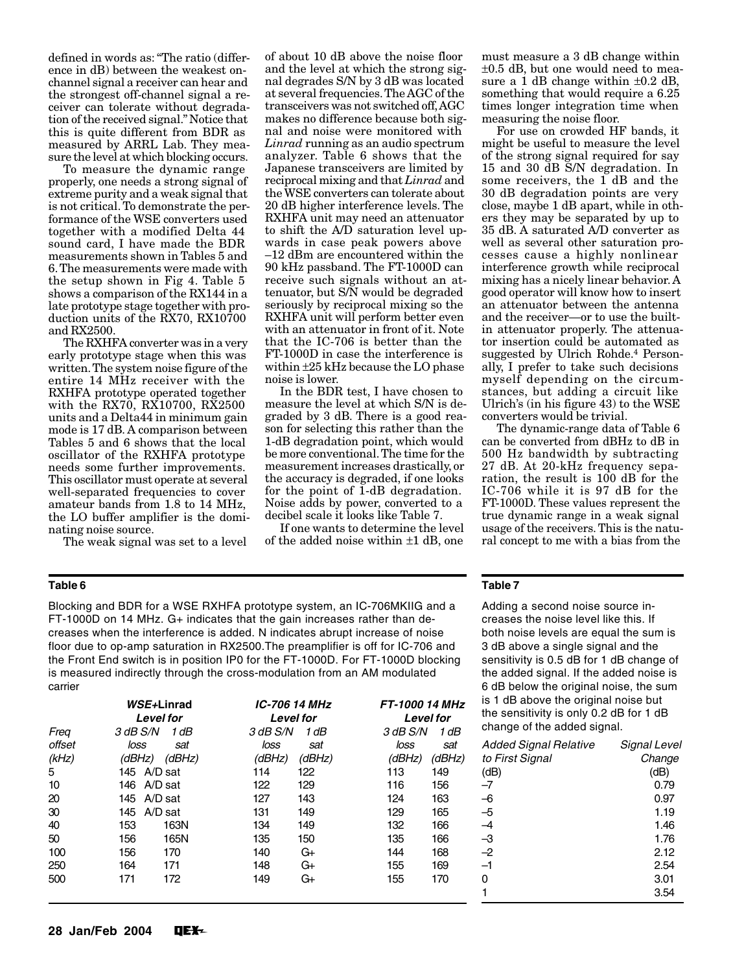defined in words as: "The ratio (difference in dB) between the weakest onchannel signal a receiver can hear and the strongest off-channel signal a receiver can tolerate without degradation of the received signal." Notice that this is quite different from BDR as measured by ARRL Lab. They measure the level at which blocking occurs.

To measure the dynamic range properly, one needs a strong signal of extreme purity and a weak signal that is not critical. To demonstrate the performance of the WSE converters used together with a modified Delta 44 sound card, I have made the BDR measurements shown in Tables 5 and 6. The measurements were made with the setup shown in Fig 4. Table 5 shows a comparison of the RX144 in a late prototype stage together with production units of the RX70, RX10700 and RX2500.

The RXHFA converter was in a very early prototype stage when this was written. The system noise figure of the entire 14 MHz receiver with the RXHFA prototype operated together with the RX70, RX10700, RX2500 units and a Delta44 in minimum gain mode is 17 dB. A comparison between Tables 5 and 6 shows that the local oscillator of the RXHFA prototype needs some further improvements. This oscillator must operate at several well-separated frequencies to cover amateur bands from 1.8 to 14 MHz, the LO buffer amplifier is the dominating noise source.

The weak signal was set to a level

of about 10 dB above the noise floor and the level at which the strong signal degrades S/N by 3 dB was located at several frequencies. The AGC of the transceivers was not switched off, AGC makes no difference because both signal and noise were monitored with *Linrad* running as an audio spectrum analyzer. Table 6 shows that the Japanese transceivers are limited by reciprocal mixing and that *Linrad* and the WSE converters can tolerate about 20 dB higher interference levels. The RXHFA unit may need an attenuator to shift the A/D saturation level upwards in case peak powers above –12 dBm are encountered within the 90 kHz passband. The FT-1000D can receive such signals without an attenuator, but S/N would be degraded seriously by reciprocal mixing so the RXHFA unit will perform better even with an attenuator in front of it. Note that the IC-706 is better than the FT-1000D in case the interference is within ±25 kHz because the LO phase noise is lower.

In the BDR test, I have chosen to measure the level at which S/N is degraded by 3 dB. There is a good reason for selecting this rather than the 1-dB degradation point, which would be more conventional. The time for the measurement increases drastically, or the accuracy is degraded, if one looks for the point of 1-dB degradation. Noise adds by power, converted to a decibel scale it looks like Table 7.

If one wants to determine the level of the added noise within ±1 dB, one must measure a 3 dB change within ±0.5 dB, but one would need to measure a 1 dB change within  $\pm 0.2$  dB, something that would require a 6.25 times longer integration time when measuring the noise floor.

For use on crowded HF bands, it might be useful to measure the level of the strong signal required for say 15 and 30 dB S/N degradation. In some receivers, the 1 dB and the 30 dB degradation points are very close, maybe 1 dB apart, while in others they may be separated by up to 35 dB. A saturated A/D converter as well as several other saturation processes cause a highly nonlinear interference growth while reciprocal mixing has a nicely linear behavior. A good operator will know how to insert an attenuator between the antenna and the receiver—or to use the builtin attenuator properly. The attenuator insertion could be automated as suggested by Ulrich Rohde.4 Personally, I prefer to take such decisions myself depending on the circumstances, but adding a circuit like Ulrich's (in his figure 43) to the WSE converters would be trivial.

The dynamic-range data of Table 6 can be converted from dBHz to dB in 500 Hz bandwidth by subtracting 27 dB. At 20-kHz frequency separation, the result is 100 dB for the IC-706 while it is 97 dB for the FT-1000D. These values represent the true dynamic range in a weak signal usage of the receivers. This is the natural concept to me with a bias from the

## **Table 6**

Blocking and BDR for a WSE RXHFA prototype system, an IC-706MKIIG and a FT-1000D on 14 MHz. G+ indicates that the gain increases rather than decreases when the interference is added. N indicates abrupt increase of noise floor due to op-amp saturation in RX2500.The preamplifier is off for IC-706 and the Front End switch is in position IP0 for the FT-1000D. For FT-1000D blocking is measured indirectly through the cross-modulation from an AM modulated carrier

|        | WSE+Linrad       | <b>IC-706 14 MHz</b> | <b>FT-1000 14 MHz</b> |
|--------|------------------|----------------------|-----------------------|
|        | <b>Level</b> for | Level for            | <b>Level</b> for      |
| Freq   | 3 dB S/N         | 3 dB S/N             | 3 dB S/N              |
|        | 1 dB             | 1 dB                 | 1 dB                  |
| offset | loss             | loss                 | loss                  |
|        | sat              | sat                  | sat                   |
| (kHz)  | (dBHz)           | (dBHz)               | (dBHz)                |
|        | (dBHz)           | (dBHz)               | (dBHz)                |
| 5      | 145 A/D sat      | 122<br>114           | 149<br>113            |
| 10     | 146 A/D sat      | 129<br>122           | 116<br>156            |
| 20     | 145 A/D sat      | 143<br>127           | 124<br>163            |
| 30     | A/D sat          | 149                  | 129                   |
|        | 145              | 131                  | 165                   |
| 40     | 163N             | 149                  | 132                   |
|        | 153              | 134                  | 166                   |
| 50     | 165N             | 150                  | 135                   |
|        | 156              | 135                  | 166                   |
| 100    | 156              | 140                  | 144                   |
|        | 170              | G+                   | 168                   |
| 250    | 164              | 148                  | 155                   |
|        | 171              | G+                   | 169                   |
| 500    | 171              | 149                  | 155                   |
|        | 172              | G+                   | 170                   |

## **Table 7**

Adding a second noise source increases the noise level like this. If both noise levels are equal the sum is 3 dB above a single signal and the sensitivity is 0.5 dB for 1 dB change of the added signal. If the added noise is 6 dB below the original noise, the sum is 1 dB above the original noise but the sensitivity is only 0.2 dB for 1 dB change of the added signal.

| <b>Added Signal Relative</b> | Signal Level |
|------------------------------|--------------|
| to First Signal              | Change       |
| (dB)                         | (dB)         |
| -7                           | 0.79         |
| -6                           | 0.97         |
| -5                           | 1.19         |
| $\overline{\mathcal{A}}$     | 1.46         |
| -3                           | 1.76         |
| $-2$                         | 2.12         |
| -1                           | 2.54         |
| 0                            | 3.01         |
|                              | 3.54         |
|                              |              |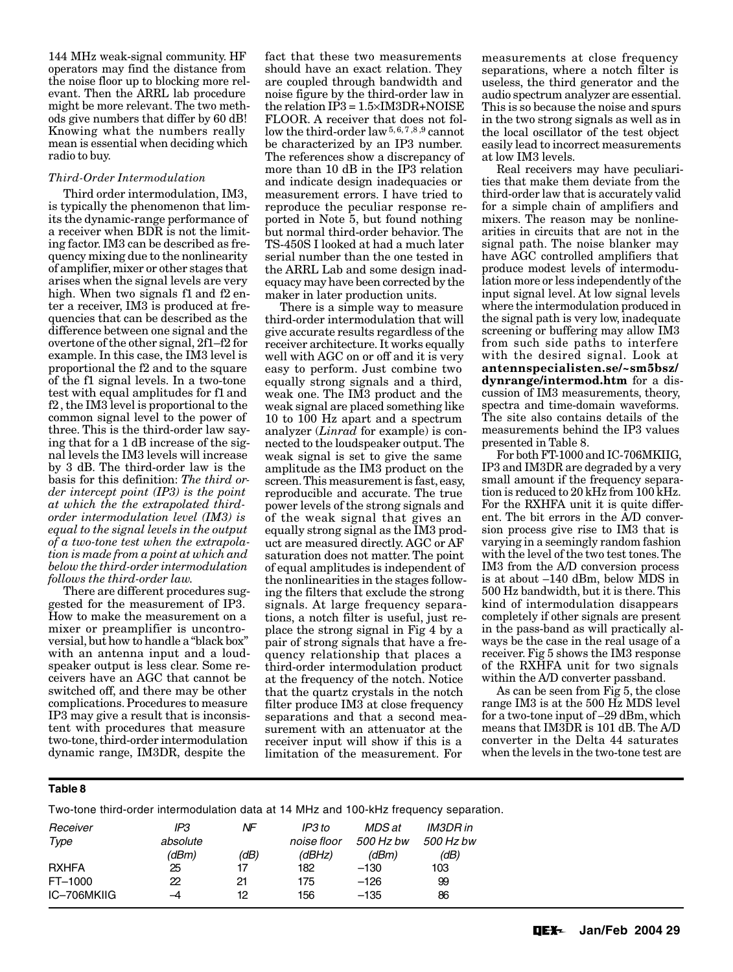144 MHz weak-signal community. HF operators may find the distance from the noise floor up to blocking more relevant. Then the ARRL lab procedure might be more relevant. The two methods give numbers that differ by 60 dB! Knowing what the numbers really mean is essential when deciding which radio to buy.

# *Third-Order Intermodulation*

Third order intermodulation, IM3, is typically the phenomenon that limits the dynamic-range performance of a receiver when BDR is not the limiting factor. IM3 can be described as frequency mixing due to the nonlinearity of amplifier, mixer or other stages that arises when the signal levels are very high. When two signals f1 and f2 enter a receiver, IM3 is produced at frequencies that can be described as the difference between one signal and the overtone of the other signal, 2f1–f2 for example. In this case, the IM3 level is proportional the f2 and to the square of the f1 signal levels. In a two-tone test with equal amplitudes for f1 and f2, the IM3 level is proportional to the common signal level to the power of three. This is the third-order law saying that for a 1 dB increase of the signal levels the IM3 levels will increase by 3 dB. The third-order law is the basis for this definition: *The third order intercept point (IP3) is the point at which the the extrapolated thirdorder intermodulation level (IM3) is equal to the signal levels in the output of a two-tone test when the extrapolation is made from a point at which and below the third-order intermodulation follows the third-order law.*

There are different procedures suggested for the measurement of IP3. How to make the measurement on a mixer or preamplifier is uncontroversial, but how to handle a "black box" with an antenna input and a loudspeaker output is less clear. Some receivers have an AGC that cannot be switched off, and there may be other complications. Procedures to measure IP3 may give a result that is inconsistent with procedures that measure two-tone, third-order intermodulation dynamic range, IM3DR, despite the

fact that these two measurements should have an exact relation. They are coupled through bandwidth and noise figure by the third-order law in the relation IP3 = 1.5×IM3DR+NOISE FLOOR. A receiver that does not follow the third-order law 5, 6, 7, 8, 9 cannot be characterized by an IP3 number. The references show a discrepancy of more than 10 dB in the IP3 relation and indicate design inadequacies or measurement errors. I have tried to reproduce the peculiar response reported in Note 5, but found nothing but normal third-order behavior. The TS-450S I looked at had a much later serial number than the one tested in the ARRL Lab and some design inadequacy may have been corrected by the maker in later production units.

There is a simple way to measure third-order intermodulation that will give accurate results regardless of the receiver architecture. It works equally well with AGC on or off and it is very easy to perform. Just combine two equally strong signals and a third, weak one. The IM3 product and the weak signal are placed something like 10 to 100 Hz apart and a spectrum analyzer (*Linrad* for example) is connected to the loudspeaker output. The weak signal is set to give the same amplitude as the IM3 product on the screen. This measurement is fast, easy, reproducible and accurate. The true power levels of the strong signals and of the weak signal that gives an equally strong signal as the IM3 product are measured directly. AGC or AF saturation does not matter. The point of equal amplitudes is independent of the nonlinearities in the stages following the filters that exclude the strong signals. At large frequency separations, a notch filter is useful, just replace the strong signal in Fig 4 by a pair of strong signals that have a frequency relationship that places a third-order intermodulation product at the frequency of the notch. Notice that the quartz crystals in the notch filter produce IM3 at close frequency separations and that a second measurement with an attenuator at the receiver input will show if this is a limitation of the measurement. For

measurements at close frequency separations, where a notch filter is useless, the third generator and the audio spectrum analyzer are essential. This is so because the noise and spurs in the two strong signals as well as in the local oscillator of the test object easily lead to incorrect measurements at low IM3 levels.

Real receivers may have peculiarities that make them deviate from the third-order law that is accurately valid for a simple chain of amplifiers and mixers. The reason may be nonlinearities in circuits that are not in the signal path. The noise blanker may have AGC controlled amplifiers that produce modest levels of intermodulation more or less independently of the input signal level. At low signal levels where the intermodulation produced in the signal path is very low, inadequate screening or buffering may allow IM3 from such side paths to interfere with the desired signal. Look at **antennspecialisten.se/~sm5bsz/ dynrange/intermod.htm** for a discussion of IM3 measurements, theory, spectra and time-domain waveforms. The site also contains details of the measurements behind the IP3 values presented in Table 8.

For both FT-1000 and IC-706MKIIG, IP3 and IM3DR are degraded by a very small amount if the frequency separation is reduced to 20 kHz from 100 kHz. For the RXHFA unit it is quite different. The bit errors in the A/D conversion process give rise to IM3 that is varying in a seemingly random fashion with the level of the two test tones. The IM3 from the A/D conversion process is at about –140 dBm, below MDS in 500 Hz bandwidth, but it is there. This kind of intermodulation disappears completely if other signals are present in the pass-band as will practically always be the case in the real usage of a receiver. Fig 5 shows the IM3 response of the RXHFA unit for two signals within the A/D converter passband.

As can be seen from Fig 5, the close range IM3 is at the 500 Hz MDS level for a two-tone input of –29 dBm, which means that IM3DR is 101 dB. The A/D converter in the Delta 44 saturates when the levels in the two-tone test are

# **Table 8**

Two-tone third-order intermodulation data at 14 MHz and 100-kHz frequency separation.

| Receiver     | IP3      | NF   | IP3 to      | MDS at    | <i>IM3DR</i> in |
|--------------|----------|------|-------------|-----------|-----------------|
| Type         | absolute |      | noise floor | 500 Hz bw | 500 Hz bw       |
|              | (dBm)    | (dB) | (dBHz)      | (dBm)     | (dB)            |
| <b>RXHFA</b> | 25       | 17   | 182         | $-130$    | 103             |
| FT-1000      | 22       | 21   | 175         | $-126$    | 99              |
| IC-706MKIIG  | -4       | 12   | 156         | $-135$    | 86              |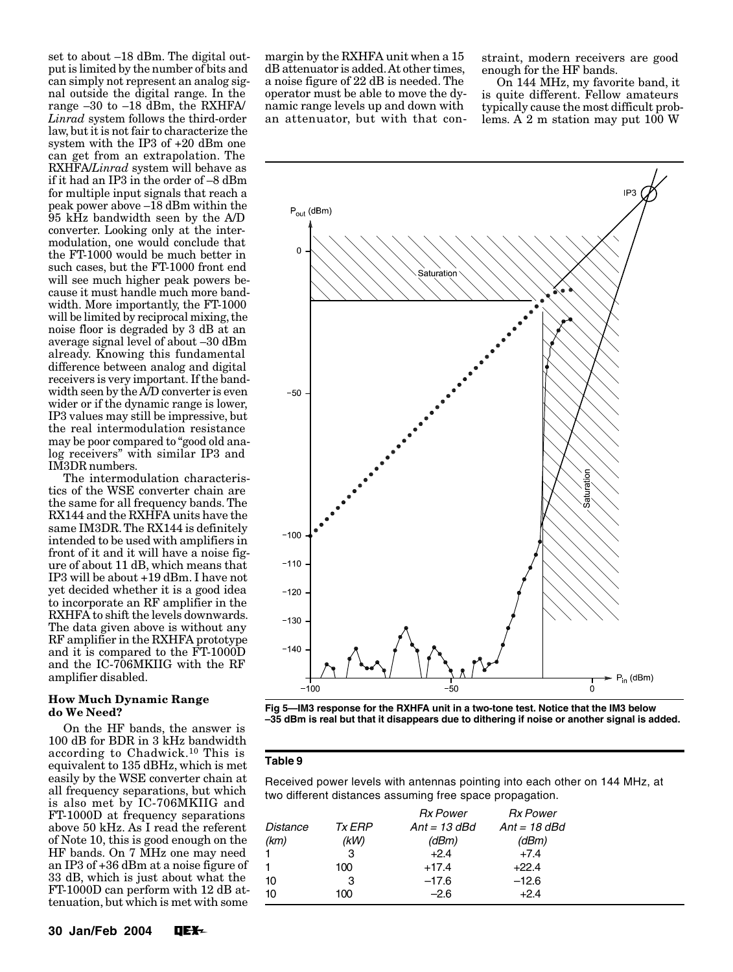set to about –18 dBm. The digital output is limited by the number of bits and can simply not represent an analog signal outside the digital range. In the range –30 to –18 dBm, the RXHFA/ *Linrad* system follows the third-order law, but it is not fair to characterize the system with the IP3 of +20 dBm one can get from an extrapolation. The RXHFA/*Linrad* system will behave as if it had an IP3 in the order of –8 dBm for multiple input signals that reach a peak power above –18 dBm within the 95 kHz bandwidth seen by the A/D converter. Looking only at the intermodulation, one would conclude that the FT-1000 would be much better in such cases, but the FT-1000 front end will see much higher peak powers because it must handle much more bandwidth. More importantly, the FT-1000 will be limited by reciprocal mixing, the noise floor is degraded by 3 dB at an average signal level of about –30 dBm already. Knowing this fundamental difference between analog and digital receivers is very important. If the bandwidth seen by the A/D converter is even wider or if the dynamic range is lower, IP3 values may still be impressive, but the real intermodulation resistance may be poor compared to "good old analog receivers" with similar IP3 and IM3DR numbers.

The intermodulation characteristics of the WSE converter chain are the same for all frequency bands. The RX144 and the RXHFA units have the same IM3DR. The RX144 is definitely intended to be used with amplifiers in front of it and it will have a noise figure of about 11 dB, which means that IP3 will be about +19 dBm. I have not yet decided whether it is a good idea to incorporate an RF amplifier in the RXHFA to shift the levels downwards. The data given above is without any RF amplifier in the RXHFA prototype and it is compared to the FT-1000D and the IC-706MKIIG with the RF amplifier disabled.

## **How Much Dynamic Range do We Need?**

On the HF bands, the answer is 100 dB for BDR in 3 kHz bandwidth according to Chadwick.10 This is equivalent to 135 dBHz, which is met easily by the WSE converter chain at all frequency separations, but which is also met by IC-706MKIIG and FT-1000D at frequency separations above 50 kHz. As I read the referent of Note 10, this is good enough on the HF bands. On 7 MHz one may need an IP3 of +36 dBm at a noise figure of 33 dB, which is just about what the FT-1000D can perform with 12 dB attenuation, but which is met with some margin by the RXHFA unit when a 15 dB attenuator is added. At other times, a noise figure of 22 dB is needed. The operator must be able to move the dynamic range levels up and down with an attenuator, but with that constraint, modern receivers are good enough for the HF bands.

On 144 MHz, my favorite band, it is quite different. Fellow amateurs typically cause the most difficult problems. A 2 m station may put 100 W



**Fig 5—IM3 response for the RXHFA unit in a two-tone test. Notice that the IM3 below –35 dBm is real but that it disappears due to dithering if noise or another signal is added.**

# **Table 9**

Received power levels with antennas pointing into each other on 144 MHz, at two different distances assuming free space propagation.

|          |               | <b>Rx Power</b> | <b>Rx Power</b> |
|----------|---------------|-----------------|-----------------|
| Distance | <b>Tx ERP</b> | $Ant = 13$ dBd  | $Ant = 18$ dBd  |
| (km)     | (kW)          | (dBm)           | (dBm)           |
|          | 3             | $+2.4$          | $+7.4$          |
|          | 100           | $+17.4$         | $+22.4$         |
| 10       | 3             | $-17.6$         | $-12.6$         |
| 10       | 100           | $-2.6$          | $+2.4$          |